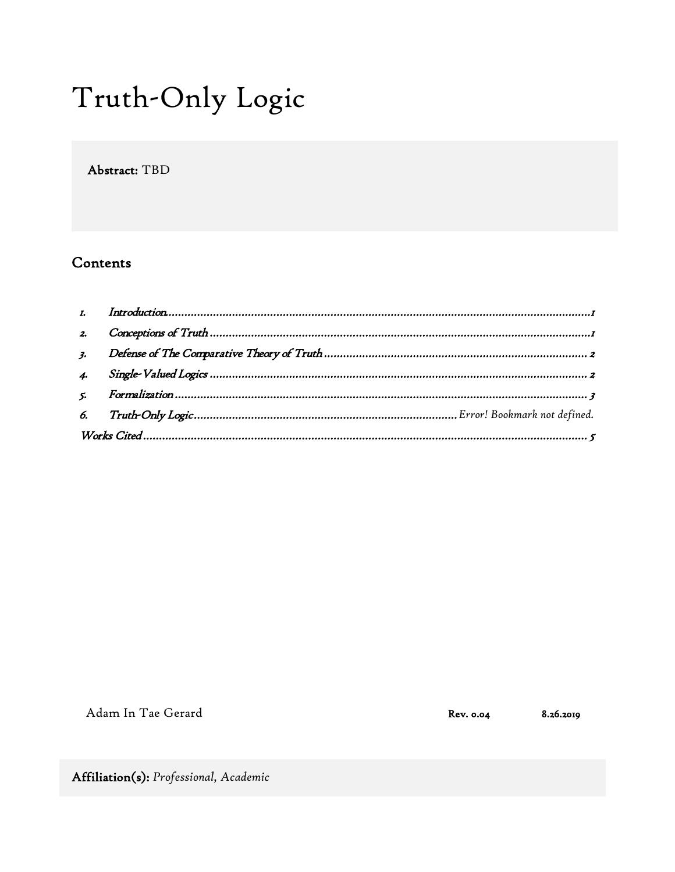# Truth-Only Logic

Abstract: TBD

# Contents

| 2. |  |
|----|--|
|    |  |
|    |  |
|    |  |
|    |  |
|    |  |

Adam In Tae Gerard

Rev. 0.04

8.26.2019

Affiliation(s): Professional, Academic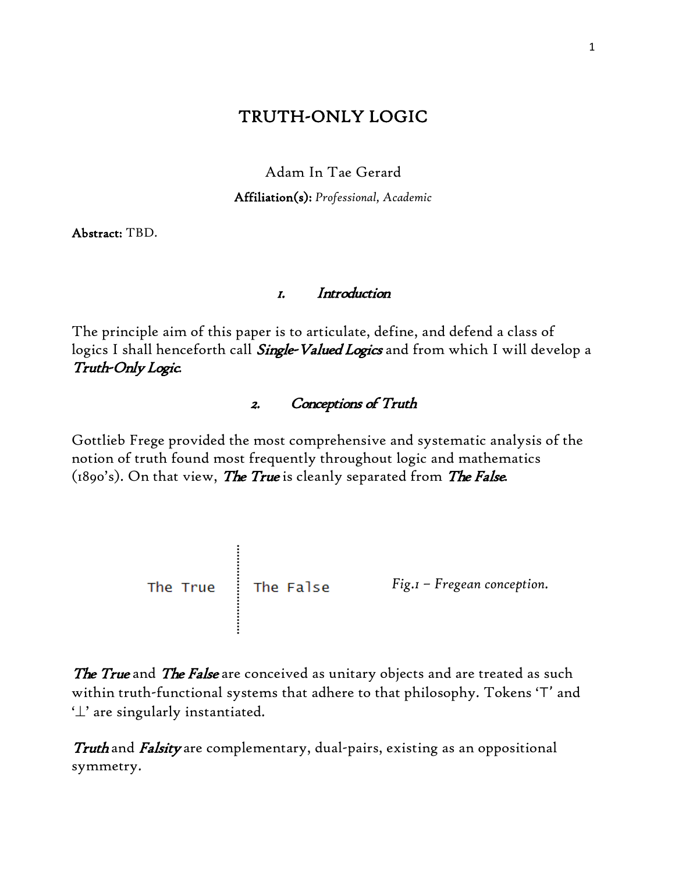# TRUTH-ONLY LOGIC

Adam In Tae Gerard

Affiliation(s): *Professional, Academic*

Abstract: TBD.

### 1. Introduction

<span id="page-1-0"></span>The principle aim of this paper is to articulate, define, and defend a class of logics I shall henceforth call *Single-Valued Logics* and from which I will develop a Truth-Only Logic.

## 2. Conceptions of Truth

<span id="page-1-1"></span>Gottlieb Frege provided the most comprehensive and systematic analysis of the notion of truth found most frequently throughout logic and mathematics (1890's). On that view, *The True* is cleanly separated from *The False*.



The True and The False are conceived as unitary objects and are treated as such within truth-functional systems that adhere to that philosophy. Tokens '⊤' and '⊥' are singularly instantiated.

Truth and Falsity are complementary, dual-pairs, existing as an oppositional symmetry.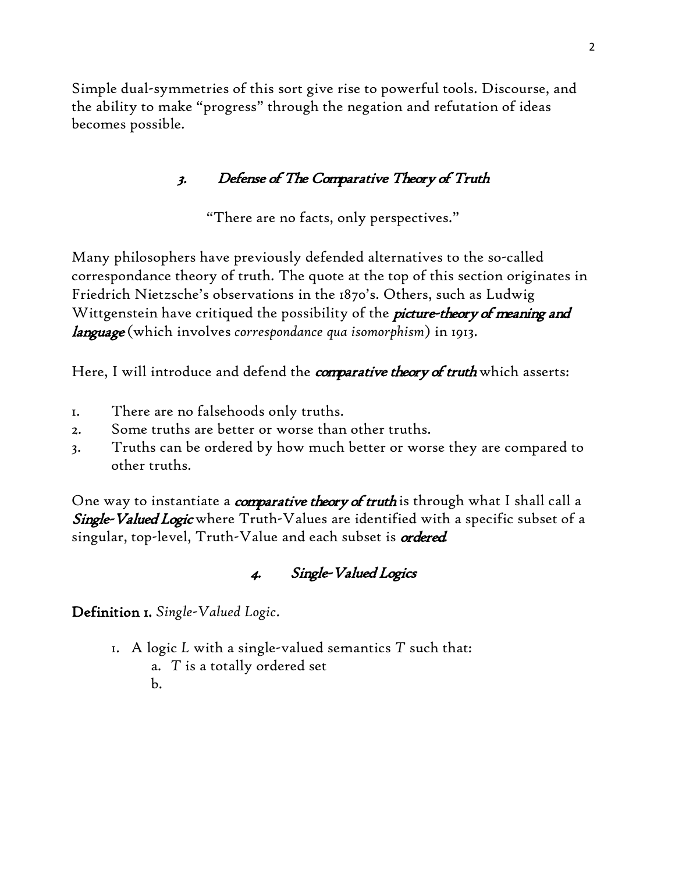Simple dual-symmetries of this sort give rise to powerful tools. Discourse, and the ability to make "progress" through the negation and refutation of ideas becomes possible.

# 3. Defense of The Comparative Theory of Truth

"There are no facts, only perspectives."

<span id="page-2-0"></span>Many philosophers have previously defended alternatives to the so-called correspondance theory of truth. The quote at the top of this section originates in Friedrich Nietzsche's observations in the 1870's. Others, such as Ludwig Wittgenstein have critiqued the possibility of the *picture-theory of meaning and* language (which involves *correspondance qua isomorphism*) in 1913.

Here, I will introduce and defend the *comparative theory of truth* which asserts:

- 1. There are no falsehoods only truths.
- 2. Some truths are better or worse than other truths.
- 3. Truths can be ordered by how much better or worse they are compared to other truths.

One way to instantiate a *comparative theory of truth* is through what I shall call a Single-Valued Logic where Truth-Values are identified with a specific subset of a singular, top-level, Truth-Value and each subset is *ordered*.

# 4. Single-Valued Logics

<span id="page-2-1"></span>Definition 1. *Single-Valued Logic*.

- 1. A logic *L* with a single-valued semantics *T* such that: a. *T* is a totally ordered set
	- b.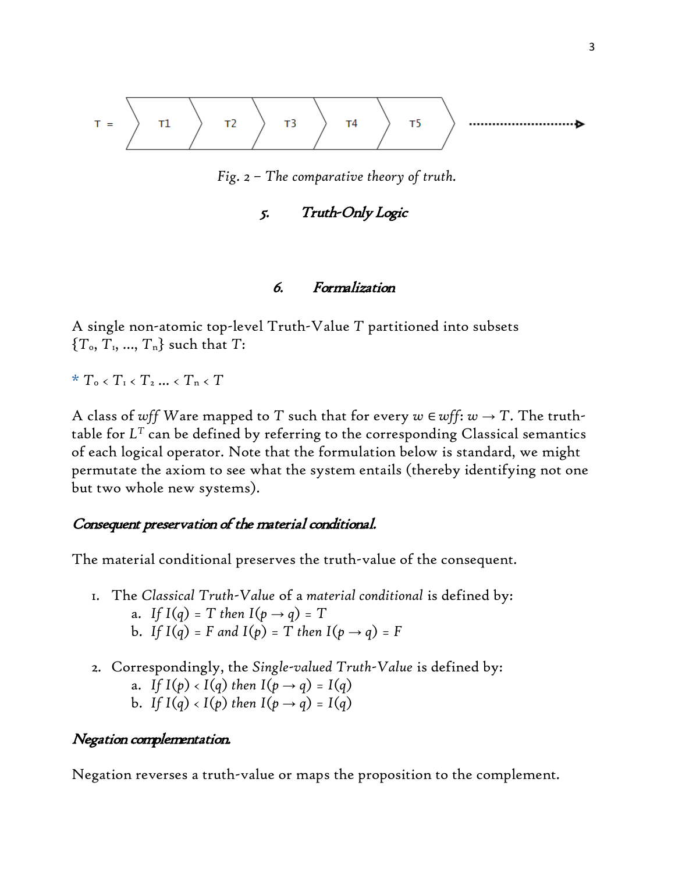$$
T = \left\{\begin{array}{ccc} & & \\ & & \end{array}\right\} \qquad T2 \qquad \left\{\begin{array}{ccc} & & \\ & T3 & \\ & & \end{array}\right\} \qquad T4 \qquad \left\{\begin{array}{ccc} & & \\ & T5 & \\ & & \end{array}\right\} \qquad \qquad \longrightarrow \qquad \longrightarrow
$$

*Fig. 2 – The comparative theory of truth.*

## 5. Truth-Only Logic

#### 6. Formalization

<span id="page-3-0"></span>A single non-atomic top-level Truth-Value *T* partitioned into subsets  ${T_0, T_1, ..., T_n}$  such that *T*:

 $*$   $T_o$  <  $T_1$  <  $T_2$  ... <  $T_n$  <  $T_1$ 

A class of wff Ware mapped to T such that for every  $w \in \mathcal{w}$ ff:  $w \to T$ . The truthtable for *LT* can be defined by referring to the corresponding Classical semantics of each logical operator. Note that the formulation below is standard, we might permutate the axiom to see what the system entails (thereby identifying not one but two whole new systems).

#### Consequent preservation of the material conditional.

The material conditional preserves the truth-value of the consequent.

- 1. The *Classical Truth-Value* of a *material conditional* is defined by: a. *If*  $I(q) = T$  *then*  $I(p \rightarrow q) = T$ **b.** If  $I(q) = F$  *and*  $I(p) = T$  *then*  $I(p \rightarrow q) = F$
- 2. Correspondingly, the *Single-valued Truth-Value* is defined by: a. *If*  $I(p) < I(q)$  *then*  $I(p \rightarrow q) = I(q)$ b. *If*  $I(q) < I(p)$  *then*  $I(p \rightarrow q) = I(q)$

#### Negation complementation.

Negation reverses a truth-value or maps the proposition to the complement.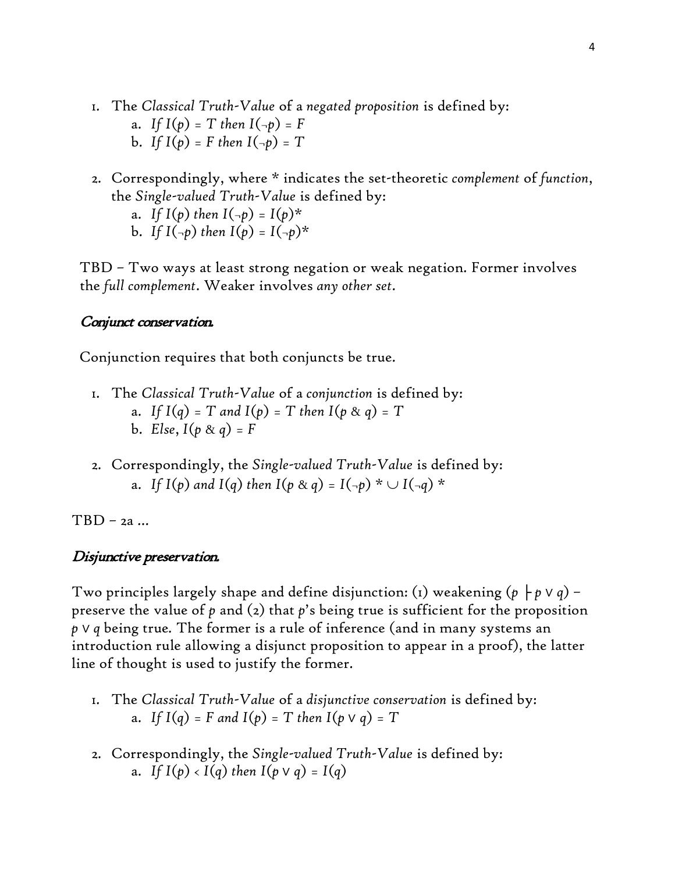- 1. The *Classical Truth-Value* of a *negated proposition* is defined by: a. *If*  $I(p) = T$  *then*  $I(\neg p) = F$ **b.** If  $I(p) = F$  then  $I(\neg p) = T$
- 2. Correspondingly, where \* indicates the set-theoretic *complement* of *function*, the *Single-valued Truth-Value* is defined by:
	- a. *If*  $I(p)$  *then*  $I(\neg p) = I(p)^*$ b. If  $I(-p)$  then  $I(p) = I(-p)^*$

TBD – Two ways at least strong negation or weak negation. Former involves the *full complement*. Weaker involves *any other set*.

#### Conjunct conservation.

Conjunction requires that both conjuncts be true.

- 1. The *Classical Truth-Value* of a *conjunction* is defined by: a. *If*  $I(q) = T$  *and*  $I(p) = T$  *then*  $I(p \& q) = T$ **b.** *Else*,  $I(p \& q) = F$
- 2. Correspondingly, the *Single-valued Truth-Value* is defined by: a. *If*  $I(p \text{ and } I(q) \text{ then } I(p \text{ & q}) = I(-p) \cdot U(-q) \cdot V$

TBD – 2a …

#### Disjunctive preservation.

Two principles largely shape and define disjunction: (1) weakening  $(p \nvert p \vee q)$  preserve the value of *p* and (2) that *p*'s being true is sufficient for the proposition *p* ∨ *q* being true*.* The former is a rule of inference (and in many systems an introduction rule allowing a disjunct proposition to appear in a proof), the latter line of thought is used to justify the former.

- 1. The *Classical Truth-Value* of a *disjunctive conservation* is defined by: **a.** If  $I(q) = F$  and  $I(p) = T$  then  $I(p \vee q) = T$
- 2. Correspondingly, the *Single-valued Truth-Value* is defined by: a. *If*  $I(p) < I(q)$  *then*  $I(p \vee q) = I(q)$